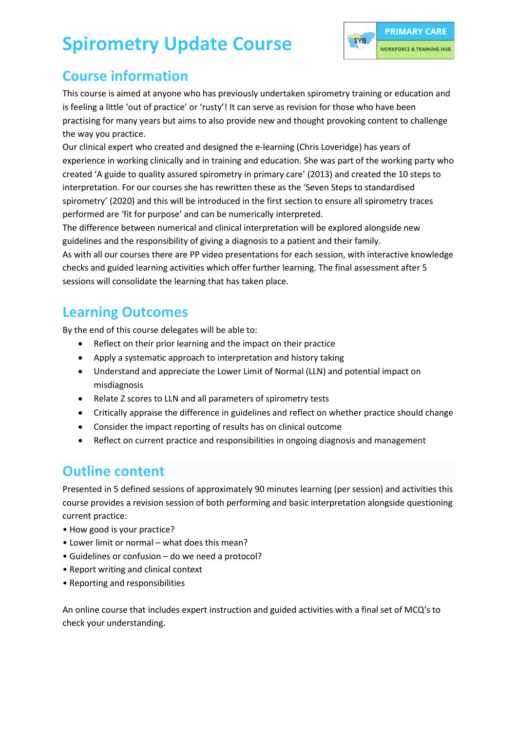# **Spirometry Update Course**



### **Course information**

This course is aimed at anyone who has previously undertaken spirometry training or education and is feeling a little 'out of practice' or 'rusty'! It can serve as revision for those who have been practising for many years but aims to also provide new and thought provoking content to challenge the way you practice.

Our clinical expert who created and designed the e-learning (Chris Loveridge) has years of experience in working clinically and in training and education. She was part of the working party who created 'A guide to quality assured spirometry in primary care' (2013) and created the 10 steps to interpretation. For our courses she has rewritten these as the 'Seven Steps to standardised spirometry' (2020) and this will be introduced in the first section to ensure all spirometry traces performed are 'fit for purpose' and can be numerically interpreted.

The difference between numerical and clinical interpretation will be explored alongside new guidelines and the responsibility of giving a diagnosis to a patient and their family.

As with all our courses there are PP video presentations for each session, with interactive knowledge checks and guided learning activities which offer further learning. The final assessment after 5 sessions will consolidate the learning that has taken place.

### **Learning Outcomes**

By the end of this course delegates will be able to:

- Reflect on their prior learning and the impact on their practice
- Apply a systematic approach to interpretation and history taking
- Understand and appreciate the Lower Limit of Normal (LLN) and potential impact on misdiagnosis
- Relate Z scores to LLN and all parameters of spirometry tests
- Critically appraise the difference in guidelines and reflect on whether practice should change
- Consider the impact reporting of results has on clinical outcome
- Reflect on current practice and responsibilities in ongoing diagnosis and management

#### **Outline content**

Presented in 5 defined sessions of approximately 90 minutes learning (per session) and activities this course provides a revision session of both performing and basic interpretation alongside questioning current practice:

- How good is your practice?
- Lower limit or normal what does this mean?
- Guidelines or confusion do we need a protocol?
- Report writing and clinical context
- Reporting and responsibilities

An online course that includes expert instruction and guided activities with a final set of MCQ's to check your understanding.